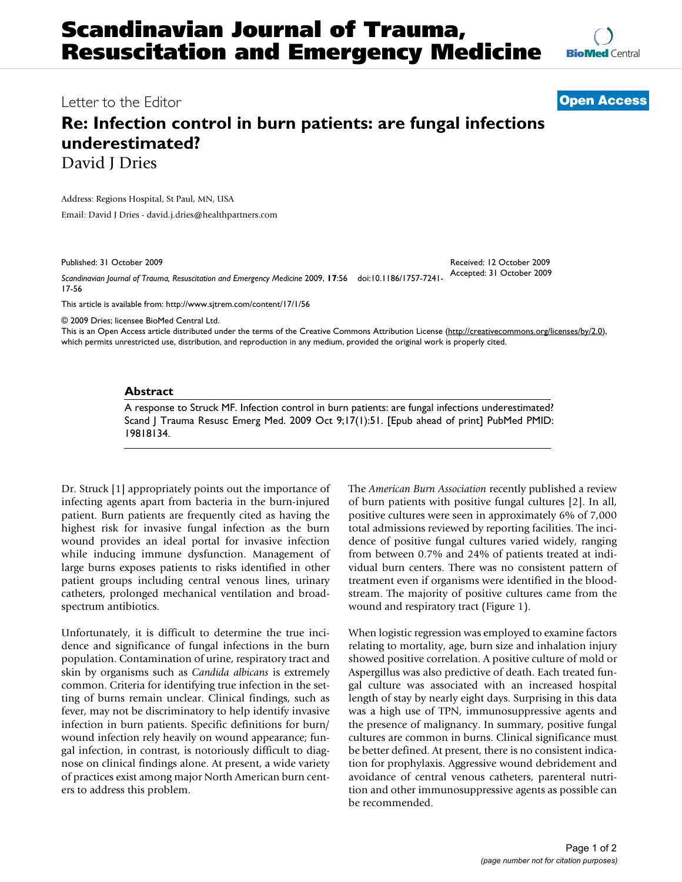

Letter to the Editor **[Open Access](http://www.biomedcentral.com/info/about/charter/)**

## **Re: Infection control in burn patients: are fungal infections underestimated?** David *I* Dries

Address: Regions Hospital, St Paul, MN, USA

Email: David J Dries - david.j.dries@healthpartners.com

Published: 31 October 2009

*Scandinavian Journal of Trauma, Resuscitation and Emergency Medicine* 2009, **17**:56 doi:10.1186/1757-7241- 17-56 Accepted: 31 October 2009

[This article is available from: http://www.sjtrem.com/content/17/1/56](http://www.sjtrem.com/content/17/1/56)

© 2009 Dries; licensee BioMed Central Ltd.

This is an Open Access article distributed under the terms of the Creative Commons Attribution License [\(http://creativecommons.org/licenses/by/2.0\)](http://creativecommons.org/licenses/by/2.0), which permits unrestricted use, distribution, and reproduction in any medium, provided the original work is properly cited.

## **Abstract**

A response to Struck MF. Infection control in burn patients: are fungal infections underestimated? Scand J Trauma Resusc Emerg Med. 2009 Oct 9;17(1):51. [Epub ahead of print] PubMed PMID: 19818134.

Dr. Struck [\[1\]](#page-1-0) appropriately points out the importance of infecting agents apart from bacteria in the burn-injured patient. Burn patients are frequently cited as having the highest risk for invasive fungal infection as the burn wound provides an ideal portal for invasive infection while inducing immune dysfunction. Management of large burns exposes patients to risks identified in other patient groups including central venous lines, urinary catheters, prolonged mechanical ventilation and broadspectrum antibiotics.

Unfortunately, it is difficult to determine the true incidence and significance of fungal infections in the burn population. Contamination of urine, respiratory tract and skin by organisms such as *Candida albicans* is extremely common. Criteria for identifying true infection in the setting of burns remain unclear. Clinical findings, such as fever, may not be discriminatory to help identify invasive infection in burn patients. Specific definitions for burn/ wound infection rely heavily on wound appearance; fungal infection, in contrast, is notoriously difficult to diagnose on clinical findings alone. At present, a wide variety of practices exist among major North American burn centers to address this problem.

The *American Burn Association* recently published a review of burn patients with positive fungal cultures [[2](#page-1-1)]. In all, positive cultures were seen in approximately 6% of 7,000 total admissions reviewed by reporting facilities. The incidence of positive fungal cultures varied widely, ranging from between 0.7% and 24% of patients treated at individual burn centers. There was no consistent pattern of treatment even if organisms were identified in the bloodstream. The majority of positive cultures came from the wound and respiratory tract (Figure [1](#page-1-2)).

Received: 12 October 2009

When logistic regression was employed to examine factors relating to mortality, age, burn size and inhalation injury showed positive correlation. A positive culture of mold or Aspergillus was also predictive of death. Each treated fungal culture was associated with an increased hospital length of stay by nearly eight days. Surprising in this data was a high use of TPN, immunosuppressive agents and the presence of malignancy. In summary, positive fungal cultures are common in burns. Clinical significance must be better defined. At present, there is no consistent indication for prophylaxis. Aggressive wound debridement and avoidance of central venous catheters, parenteral nutrition and other immunosuppressive agents as possible can be recommended.